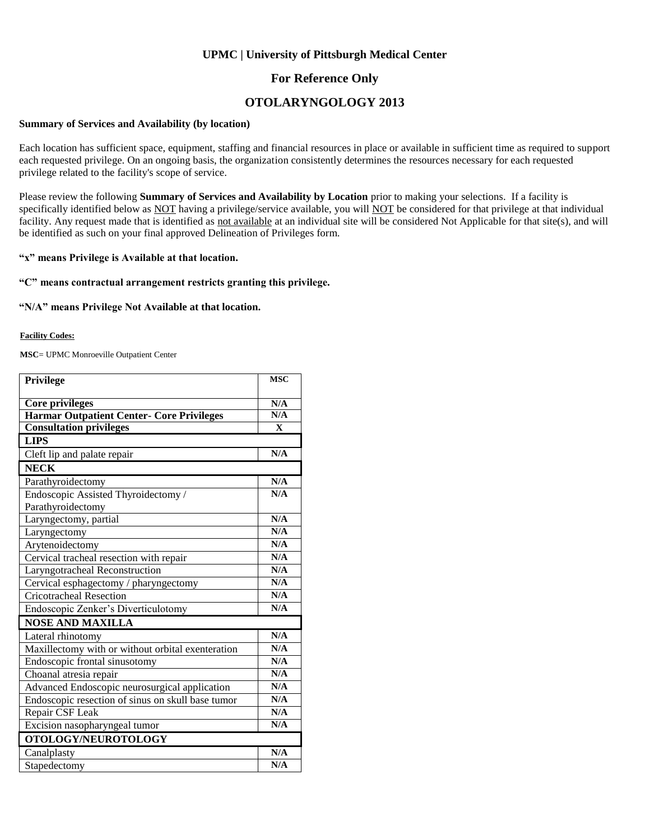### **UPMC | University of Pittsburgh Medical Center**

### **For Reference Only**

## **OTOLARYNGOLOGY 2013**

#### **Summary of Services and Availability (by location)**

Each location has sufficient space, equipment, staffing and financial resources in place or available in sufficient time as required to support each requested privilege. On an ongoing basis, the organization consistently determines the resources necessary for each requested privilege related to the facility's scope of service.

Please review the following **Summary of Services and Availability by Location** prior to making your selections. If a facility is specifically identified below as NOT having a privilege/service available, you will NOT be considered for that privilege at that individual facility. Any request made that is identified as not available at an individual site will be considered Not Applicable for that site(s), and will be identified as such on your final approved Delineation of Privileges form.

### **"x" means Privilege is Available at that location.**

#### **"C" means contractual arrangement restricts granting this privilege.**

#### **"N/A" means Privilege Not Available at that location.**

#### **Facility Codes:**

**MSC**= UPMC Monroeville Outpatient Center

| <b>Privilege</b>                                  | <b>MSC</b>   |
|---------------------------------------------------|--------------|
| <b>Core privileges</b>                            | N/A          |
| Harmar Outpatient Center- Core Privileges         | N/A          |
| <b>Consultation privileges</b>                    | $\mathbf{X}$ |
| <b>LIPS</b>                                       |              |
| Cleft lip and palate repair                       | N/A          |
| <b>NECK</b>                                       |              |
| Parathyroidectomy                                 | N/A          |
| Endoscopic Assisted Thyroidectomy /               | N/A          |
| Parathyroidectomy                                 |              |
| Laryngectomy, partial                             | N/A          |
| Laryngectomy                                      | N/A          |
| Arytenoidectomy                                   | N/A          |
| Cervical tracheal resection with repair           | N/A          |
| Laryngotracheal Reconstruction                    | N/A          |
| Cervical esphagectomy / pharyngectomy             | N/A          |
| <b>Cricotracheal Resection</b>                    | N/A          |
| Endoscopic Zenker's Diverticulotomy               | N/A          |
| <b>NOSE AND MAXILLA</b>                           |              |
| Lateral rhinotomy                                 | N/A          |
| Maxillectomy with or without orbital exenteration | N/A          |
| Endoscopic frontal sinusotomy                     | N/A          |
| Choanal atresia repair                            | N/A          |
| Advanced Endoscopic neurosurgical application     | N/A          |
| Endoscopic resection of sinus on skull base tumor | N/A          |
| Repair CSF Leak                                   | N/A          |
| Excision nasopharyngeal tumor                     | N/A          |
| OTOLOGY/NEUROTOLOGY                               |              |
| Canalplasty                                       | N/A          |
| Stapedectomy                                      | N/A          |